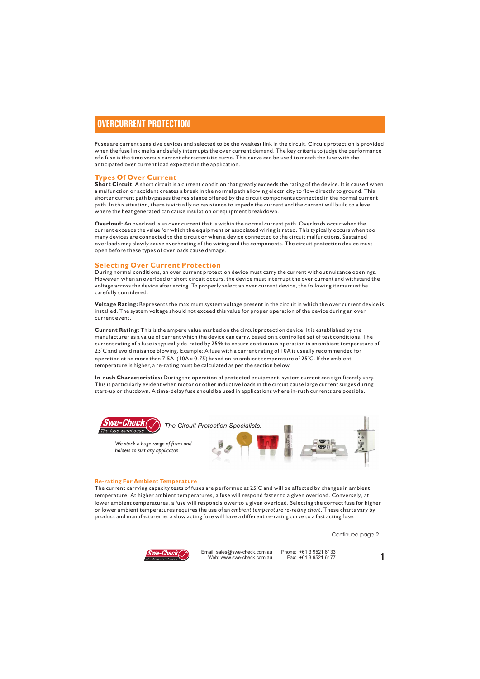## **OVERCURRENT PROTECTION**

Fuses are current sensitive devices and selected to be the weakest link in the circuit. Circuit protection is provided when the fuse link melts and safely interrupts the over current demand. The key criteria to judge the performance of a fuse is the time versus current characteristic curve. This curve can be used to match the fuse with the anticipated over current load expected in the application.

#### **Types Of Over Current**

**Short Circuit:** A short circuit is a current condition that greatly exceeds the rating of the device. It is caused when a malfunction or accident creates a break in the normal path allowing electricity to flow directly to ground. This shorter current path bypasses the resistance offered by the circuit components connected in the normal current path. In this situation, there is virtually no resistance to impede the current and the current will build to a level where the heat generated can cause insulation or equipment breakdown.

**Overload:** An overload is an over current that is within the normal current path. Overloads occur when the current exceeds the value for which the equipment or associated wiring is rated. This typically occurs when too many devices are connected to the circuit or when a device connected to the circuit malfunctions. Sustained overloads may slowly cause overheating of the wiring and the components. The circuit protection device must open before these types of overloads cause damage.

### **Selecting Over Current Protection**

During normal conditions, an over current protection device must carry the current without nuisance openings. However, when an overload or short circuit occurs, the device must interrupt the over current and withstand the voltage across the device after arcing. To properly select an over current device, the following items must be carefully considered:

**Voltage Rating:** Represents the maximum system voltage present in the circuit in which the over current device is installed. The system voltage should not exceed this value for proper operation of the device during an over current event.

**Current Rating:** This is the ampere value marked on the circuit protection device. It is established by the manufacturer as a value of current which the device can carry, based on a controlled set of test conditions. The current rating of a fuse is typically de-rated by 25% to ensure continuous operation in an ambient temperature of 25°C and avoid nuisance blowing. Example: A fuse with a current rating of 10A is usually recommended for operation at no more than 7.5A (10A x 0.75) based on an ambient temperature of 25°C. If the ambient temperature is higher, a re-rating must be calculated as per the section below.

**In-rush Characteristics:** During the operation of protected equipment, system current can significantly vary. This is particularly evident when motor or other inductive loads in the circuit cause large current surges during start-up or shutdown. A time-delay fuse should be used in applications where in-rush currents are possible.



#### **Re-rating For Ambient Temperature**

The current carrying capacity tests of fuses are performed at 25°C and will be affected by changes in ambient temperature. At higher ambient temperatures, a fuse will respond faster to a given overload. Conversely, at lower ambient temperatures, a fuse will respond slower to a given overload. Selecting the correct fuse for higher or lower ambient temperatures requires the use of an *ambient temperature re-rating chart*. These charts vary by product and manufacturer ie. a slow acting fuse will have a different re-rating curve to a fast acting fuse.

Continued page 2



ail: sales@swe-check.com.au Phone: +61 3 9521 6133<br>Web: www.swe-check.com.au Fax: +61 3 9521 6177 Email: sales@swe-check.com.au<br>Web: www.swe-check.com.au